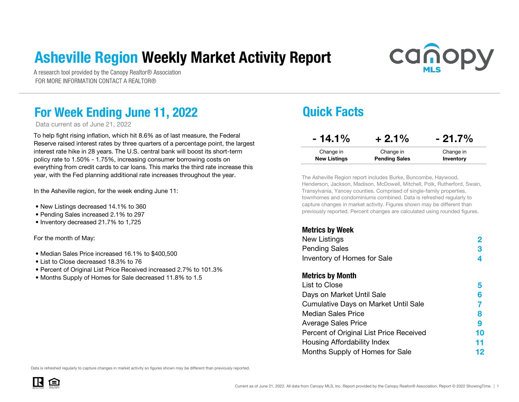### Asheville Region Weekly Market Activity Report



A research tool provided by the Canopy Realtor® Association FOR MORE INFORMATION CONTACT A REALTOR®

### For Week Ending June 11, 2022 **Quick Facts**

Data current as of June 21, 2022

To help fight rising inflation, which hit 8.6% as of last measure, the Federal Reserve raised interest rates by three quarters of a percentage point, the largest interest rate hike in 28 years. The U.S. central bank will boost its short-term policy rate to 1.50% - 1.75%, increasing consumer borrowing costs on everything from credit cards to car loans. This marks the third rate increase this year, with the Fed planning additional rate increases throughout the year.

In the Asheville region, for the week ending June 11:

- New Listings decreased 14.1% to 360
- Pending Sales increased 2.1% to 297
- Inventory decreased 21.7% to 1,725

For the month of May:

- Median Sales Price increased 16.1% to \$400,500
- List to Close decreased 18.3% to 76
- Percent of Original List Price Received increased 2.7% to 101.3%
- Months Supply of Homes for Sale decreased 11.8% to 1.5

| $-14.1%$            | $+2.1%$              | $-21.7%$  |
|---------------------|----------------------|-----------|
| Change in           | Change in            | Change in |
| <b>New Listings</b> | <b>Pending Sales</b> | Inventory |

The Asheville Region report includes Burke, Buncombe, Haywood, Henderson, Jackson, Madison, McDowell, Mitchell, Polk, Rutherford, Swain, Transylvania, Yancey counties. Comprised of single-family properties, townhomes and condominiums combined. Data is refreshed regularly to capture changes in market activity. Figures shown may be different than previously reported. Percent changes are calculated using rounded figures.

#### Metrics by Week

| INVUIVU MY MVUIV                        |    |
|-----------------------------------------|----|
| New Listings                            |    |
| <b>Pending Sales</b>                    | 3  |
| Inventory of Homes for Sale             | 4  |
| <b>Metrics by Month</b>                 |    |
| List to Close                           | 5  |
| Days on Market Until Sale               | 6  |
| Cumulative Days on Market Until Sale    |    |
| <b>Median Sales Price</b>               | 8  |
| <b>Average Sales Price</b>              | 9  |
| Percent of Original List Price Received | 10 |
| Housing Affordability Index             | 11 |
| Months Supply of Homes for Sale         | 12 |
|                                         |    |

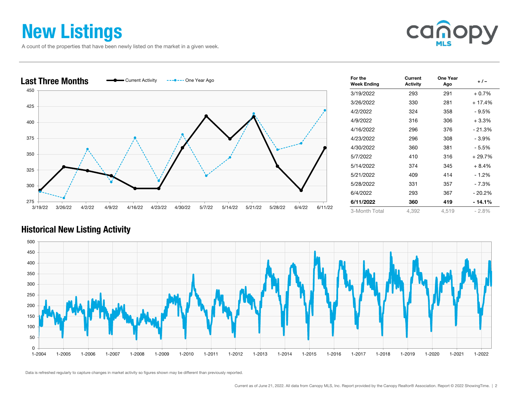### New Listings

A count of the properties that have been newly listed on the market in a given week.





| For the<br><b>Week Ending</b> | Current<br><b>Activity</b> | One Year<br>Ago | $+/-$    |
|-------------------------------|----------------------------|-----------------|----------|
| 3/19/2022                     | 293                        | 291             | $+0.7%$  |
| 3/26/2022                     | 330                        | 281             | $+17.4%$ |
| 4/2/2022                      | 324                        | 358             | - 9.5%   |
| 4/9/2022                      | 316                        | 306             | $+3.3%$  |
| 4/16/2022                     | 296                        | 376             | $-21.3%$ |
| 4/23/2022                     | 296                        | 308             | - 3.9%   |
| 4/30/2022                     | 360                        | 381             | - 5.5%   |
| 5/7/2022                      | 410                        | 316             | + 29.7%  |
| 5/14/2022                     | 374                        | 345             | $+8.4%$  |
| 5/21/2022                     | 409                        | 414             | $-1.2%$  |
| 5/28/2022                     | 331                        | 357             | - 7.3%   |
| 6/4/2022                      | 293                        | 367             | $-20.2%$ |
| 6/11/2022                     | 360                        | 419             | - 14.1%  |
| 3-Month Total                 | 4,392                      | 4,519           | $-2.8%$  |

#### Historical New Listing Activity

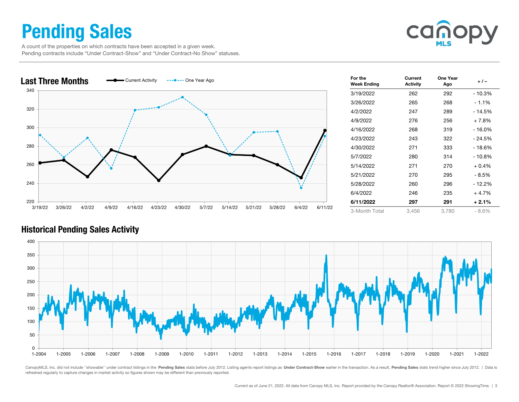### Pending Sales

can

 A count of the properties on which contracts have been accepted in a given week. Pending contracts include "Under Contract-Show" and "Under Contract-No Show" statuses.



| For the<br><b>Week Ending</b> | Current<br><b>Activity</b> | One Year<br>Ago | $+/-$   |
|-------------------------------|----------------------------|-----------------|---------|
| 3/19/2022                     | 262                        | 292             | - 10.3% |
| 3/26/2022                     | 265                        | 268             | $-1.1%$ |
| 4/2/2022                      | 247                        | 289             | - 14.5% |
| 4/9/2022                      | 276                        | 256             | $+7.8%$ |
| 4/16/2022                     | 268                        | 319             | - 16.0% |
| 4/23/2022                     | 243                        | 322             | - 24.5% |
| 4/30/2022                     | 271                        | 333             | - 18.6% |
| 5/7/2022                      | 280                        | 314             | - 10.8% |
| 5/14/2022                     | 271                        | 270             | $+0.4%$ |
| 5/21/2022                     | 270                        | 295             | - 8.5%  |
| 5/28/2022                     | 260                        | 296             | - 12.2% |
| 6/4/2022                      | 246                        | 235             | $+4.7%$ |
| 6/11/2022                     | 297                        | 291             | $+2.1%$ |
| 3-Month Total                 | 3,456                      | 3,780           | $-8.6%$ |

### Historical Pending Sales Activity



CanopyMLS, Inc. did not include "showable" under contract listings in the Pending Sales stats before July 2012. Listing agents report listings as Under Contract-Show earlier in the transaction. As a result, Pending Sales s refreshed regularly to capture changes in market activity so figures shown may be different than previously reported.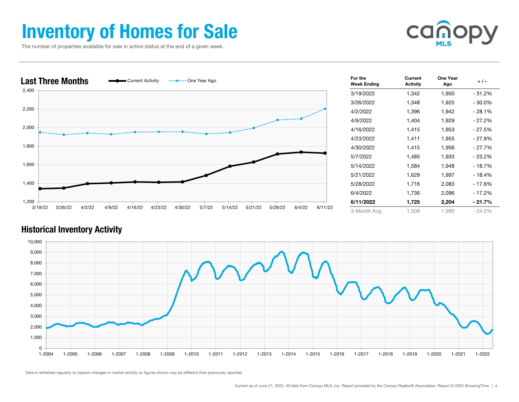### Inventory of Homes for Sale

The number of properties available for sale in active status at the end of a given week.





| For the<br><b>Week Ending</b> | Current<br><b>Activity</b> | One Year<br>Ago | + / -     |
|-------------------------------|----------------------------|-----------------|-----------|
| 3/19/2022                     | 1,342                      | 1,950           | - 31.2%   |
| 3/26/2022                     | 1,348                      | 1,925           | $-30.0\%$ |
| 4/2/2022                      | 1,396                      | 1,942           | $-28.1%$  |
| 4/9/2022                      | 1,404                      | 1,929           | - 27.2%   |
| 4/16/2022                     | 1,415                      | 1,953           | - 27.5%   |
| 4/23/2022                     | 1,411                      | 1,955           | - 27.8%   |
| 4/30/2022                     | 1,415                      | 1,956           | - 27.7%   |
| 5/7/2022                      | 1,485                      | 1,933           | $-23.2%$  |
| 5/14/2022                     | 1,584                      | 1,948           | $-18.7%$  |
| 5/21/2022                     | 1,629                      | 1,997           | - 18.4%   |
| 5/28/2022                     | 1,716                      | 2,083           | - 17.6%   |
| 6/4/2022                      | 1,736                      | 2,096           | $-17.2%$  |
| 6/11/2022                     | 1,725                      | 2,204           | - 21.7%   |
| 3-Month Avg                   | 1,508                      | 1,990           | $-24.2%$  |

#### Historical Inventory Activity

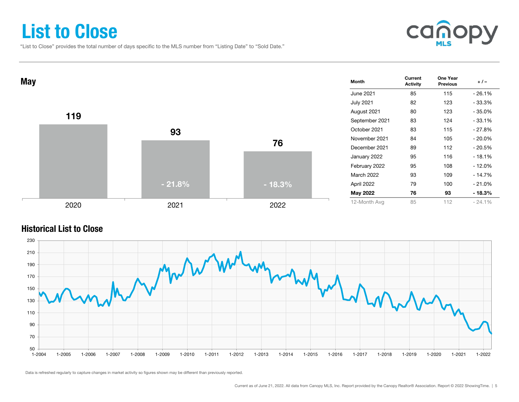### List to Close

"List to Close" provides the total number of days specific to the MLS number from "Listing Date" to "Sold Date."





#### Historical List to Close

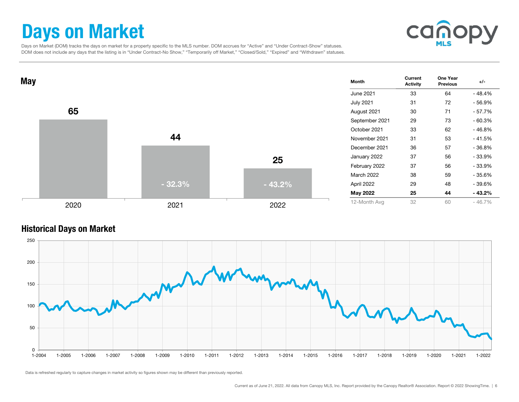### Days on Market



 Days on Market (DOM) tracks the days on market for a property specific to the MLS number. DOM accrues for "Active" and "Under Contract-Show" statuses. DOM does not include any days that the listing is in "Under Contract-No Show," "Temporarily off Market," "Closed/Sold," "Expired" and "Withdrawn" statuses.



#### Historical Days on Market

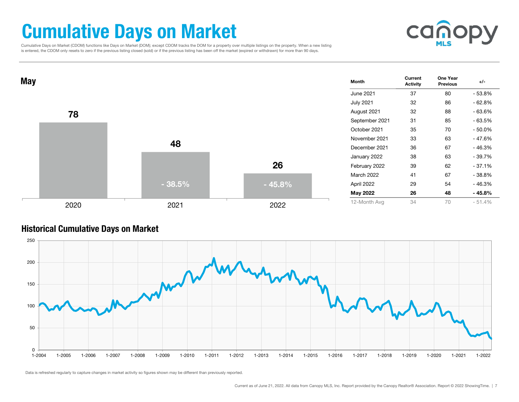### Cumulative Days on Market

cano

 Cumulative Days on Market (CDOM) functions like Days on Market (DOM); except CDOM tracks the DOM for a property over multiple listings on the property. When a new listing is entered, the CDOM only resets to zero if the previous listing closed (sold) or if the previous listing has been off the market (expired or withdrawn) for more than 90 days.



#### Historical Cumulative Days on Market

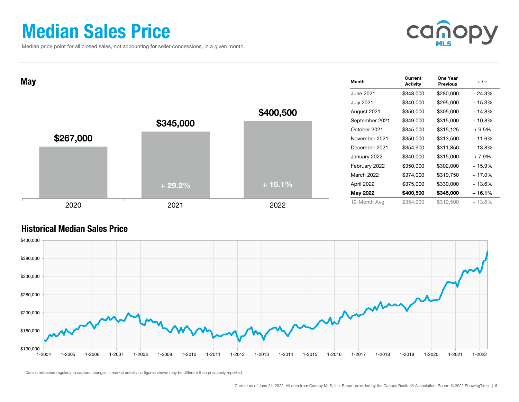### Median Sales Price

Median price point for all closed sales, not accounting for seller concessions, in a given month.



| <b>May</b> |           |           |           | Month            | Current<br><b>Activity</b> | One Year<br><b>Previous</b> | $+/-$    |
|------------|-----------|-----------|-----------|------------------|----------------------------|-----------------------------|----------|
|            |           |           |           | <b>June 2021</b> | \$348,000                  | \$280,000                   | $+24.3%$ |
|            |           |           |           | <b>July 2021</b> | \$340,000                  | \$295,000                   | $+15.3%$ |
|            |           |           | \$400,500 | August 2021      | \$350,000                  | \$305,000                   | $+14.8%$ |
|            |           | \$345,000 |           | September 2021   | \$349,000                  | \$315,000                   | $+10.8%$ |
|            |           |           |           | October 2021     | \$345,000                  | \$315,125                   | $+9.5%$  |
|            | \$267,000 |           |           | November 2021    | \$350,000                  | \$313,500                   | $+11.6%$ |
|            |           |           |           | December 2021    | \$354,900                  | \$311,850                   | $+13.8%$ |
|            |           |           |           | January 2022     | \$340,000                  | \$315,000                   | + 7.9%   |
|            |           |           |           | February 2022    | \$350,000                  | \$302,000                   | $+15.9%$ |
|            |           |           |           | March 2022       | \$374,000                  | \$319,750                   | $+17.0%$ |
|            |           | $+29.2%$  | $+16.1%$  | April 2022       | \$375,000                  | \$330,000                   | + 13.6%  |
|            |           |           |           | May 2022         | \$400,500                  | \$345,000                   | + 16.1%  |
|            | 2020      | 2021      | 2022      | 12-Month Avg     | \$354,900                  | \$312,500                   | $+13.6%$ |

#### Historical Median Sales Price

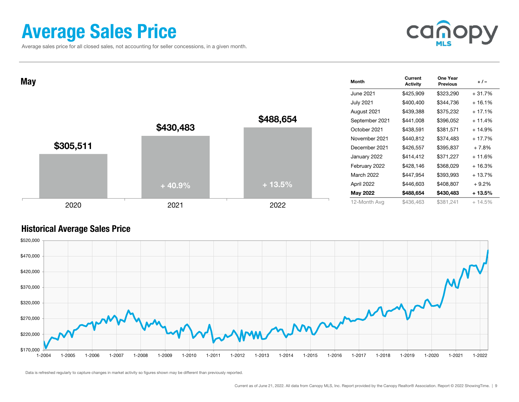### Average Sales Price

Average sales price for all closed sales, not accounting for seller concessions, in a given month.



| <b>May</b> |           |           |           | <b>Month</b>      | Current<br><b>Activity</b> | One Year<br><b>Previous</b> | $+/-$    |
|------------|-----------|-----------|-----------|-------------------|----------------------------|-----------------------------|----------|
|            |           |           |           | June 2021         | \$425,909                  | \$323,290                   | $+31.7%$ |
|            |           |           |           | <b>July 2021</b>  | \$400,400                  | \$344,736                   | $+16.1%$ |
|            |           |           |           | August 2021       | \$439,388                  | \$375,232                   | $+17.1%$ |
|            |           |           | \$488,654 | September 2021    | \$441,008                  | \$396,052                   | $+11.4%$ |
|            |           | \$430,483 |           | October 2021      | \$438,591                  | \$381,571                   | $+14.9%$ |
|            |           |           |           | November 2021     | \$440,812                  | \$374,483                   | $+17.7%$ |
|            | \$305,511 |           |           | December 2021     | \$426,557                  | \$395,837                   | $+7.8%$  |
|            |           |           |           | January 2022      | \$414,412                  | \$371,227                   | $+11.6%$ |
|            |           |           |           | February 2022     | \$428,146                  | \$368,029                   | $+16.3%$ |
|            |           |           |           | <b>March 2022</b> | \$447,954                  | \$393,993                   | $+13.7%$ |
|            |           | $+40.9%$  | $+13.5%$  | April 2022        | \$446,603                  | \$408,807                   | $+9.2%$  |
|            |           |           |           | May 2022          | \$488,654                  | \$430,483                   | $+13.5%$ |
|            | 2020      | 2021      | 2022      | 12-Month Avg      | \$436,463                  | \$381,241                   | $+14.5%$ |

#### Historical Average Sales Price

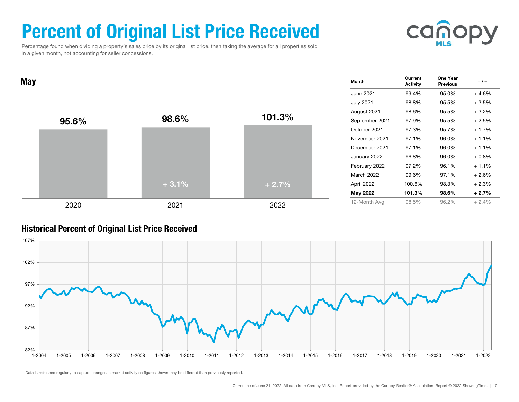# Percent of Original List Price Received



 Percentage found when dividing a property's sales price by its original list price, then taking the average for all properties sold in a given month, not accounting for seller concessions.

| May |       |         |         | Month             | Current<br><b>Activity</b> | One Year<br><b>Previous</b> | $+/-$   |
|-----|-------|---------|---------|-------------------|----------------------------|-----------------------------|---------|
|     |       |         |         | <b>June 2021</b>  | 99.4%                      | 95.0%                       | $+4.6%$ |
|     |       |         |         | <b>July 2021</b>  | 98.8%                      | 95.5%                       | $+3.5%$ |
|     |       |         |         | August 2021       | 98.6%                      | 95.5%                       | $+3.2%$ |
|     | 95.6% | 98.6%   | 101.3%  | September 2021    | 97.9%                      | 95.5%                       | $+2.5%$ |
|     |       |         |         | October 2021      | 97.3%                      | 95.7%                       | $+1.7%$ |
|     |       |         |         | November 2021     | 97.1%                      | 96.0%                       | $+1.1%$ |
|     |       |         |         | December 2021     | 97.1%                      | 96.0%                       | $+1.1%$ |
|     |       |         |         | January 2022      | 96.8%                      | 96.0%                       | $+0.8%$ |
|     |       |         |         | February 2022     | 97.2%                      | 96.1%                       | $+1.1%$ |
|     |       |         |         | <b>March 2022</b> | 99.6%                      | 97.1%                       | $+2.6%$ |
|     |       | $+3.1%$ | $+2.7%$ | April 2022        | 100.6%                     | 98.3%                       | $+2.3%$ |
|     |       |         |         | May 2022          | 101.3%                     | 98.6%                       | $+2.7%$ |
|     | 2020  | 2021    | 2022    | 12-Month Avg      | 98.5%                      | 96.2%                       | $+2.4%$ |

#### Historical Percent of Original List Price Received

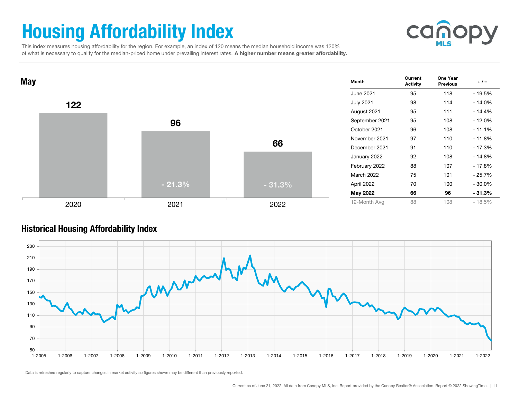# Housing Affordability Index



 This index measures housing affordability for the region. For example, an index of 120 means the median household income was 120% of what is necessary to qualify for the median-priced home under prevailing interest rates. A higher number means greater affordability.



#### Historical Housing Affordability Index